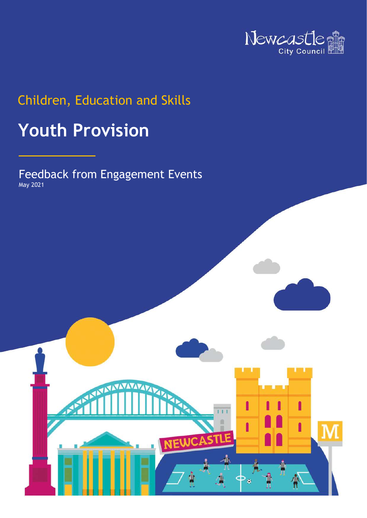

ı

ï

I

# Children, Education and Skills

# Youth Provision

Feedback from Engagement Events May 2021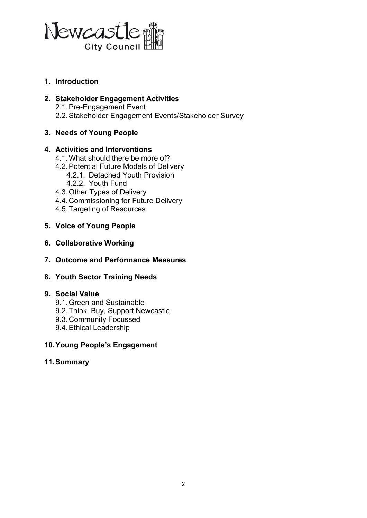

#### 1. Introduction

#### 2. Stakeholder Engagement Activities 2.1. Pre-Engagement Event 2.2. Stakeholder Engagement Events/Stakeholder Survey

#### 3. Needs of Young People

#### 4. Activities and Interventions

- 4.1. What should there be more of?
- 4.2. Potential Future Models of Delivery
	- 4.2.1. Detached Youth Provision
	- 4.2.2. Youth Fund
- 4.3. Other Types of Delivery
- 4.4. Commissioning for Future Delivery
- 4.5. Targeting of Resources

#### 5. Voice of Young People

- 6. Collaborative Working
- 7. Outcome and Performance Measures
- 8. Youth Sector Training Needs

#### 9. Social Value

- 9.1. Green and Sustainable
- 9.2. Think, Buy, Support Newcastle
- 9.3. Community Focussed
- 9.4. Ethical Leadership

#### 10. Young People's Engagement

#### 11. Summary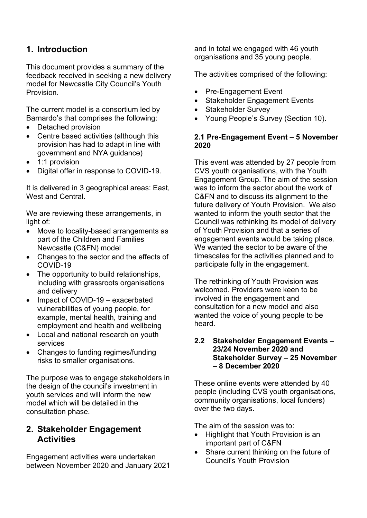# 1. Introduction

This document provides a summary of the feedback received in seeking a new delivery model for Newcastle City Council's Youth Provision.

The current model is a consortium led by Barnardo's that comprises the following:

- Detached provision
- Centre based activities (although this provision has had to adapt in line with government and NYA guidance)
- 1:1 provision
- Digital offer in response to COVID-19.

It is delivered in 3 geographical areas: East, West and Central.

We are reviewing these arrangements, in light of:

- Move to locality-based arrangements as part of the Children and Families Newcastle (C&FN) model
- Changes to the sector and the effects of COVID-19
- The opportunity to build relationships, including with grassroots organisations and delivery
- Impact of COVID-19 exacerbated vulnerabilities of young people, for example, mental health, training and employment and health and wellbeing
- Local and national research on youth services
- Changes to funding regimes/funding risks to smaller organisations.

The purpose was to engage stakeholders in the design of the council's investment in youth services and will inform the new model which will be detailed in the consultation phase.

### 2. Stakeholder Engagement **Activities**

Engagement activities were undertaken between November 2020 and January 2021 and in total we engaged with 46 youth organisations and 35 young people.

The activities comprised of the following:

- Pre-Engagement Event
- Stakeholder Engagement Events
- Stakeholder Survey
- Young People's Survey (Section 10).

#### 2.1 Pre-Engagement Event – 5 November 2020

This event was attended by 27 people from CVS youth organisations, with the Youth Engagement Group. The aim of the session was to inform the sector about the work of C&FN and to discuss its alignment to the future delivery of Youth Provision. We also wanted to inform the youth sector that the Council was rethinking its model of delivery of Youth Provision and that a series of engagement events would be taking place. We wanted the sector to be aware of the timescales for the activities planned and to participate fully in the engagement.

The rethinking of Youth Provision was welcomed. Providers were keen to be involved in the engagement and consultation for a new model and also wanted the voice of young people to be heard.

#### 2.2 Stakeholder Engagement Events – 23/24 November 2020 and Stakeholder Survey – 25 November – 8 December 2020

These online events were attended by 40 people (including CVS youth organisations, community organisations, local funders) over the two days.

The aim of the session was to:

- Highlight that Youth Provision is an important part of C&FN
- Share current thinking on the future of Council's Youth Provision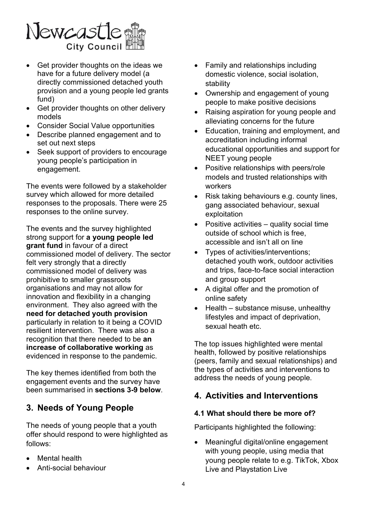

- Get provider thoughts on the ideas we have for a future delivery model (a directly commissioned detached youth provision and a young people led grants fund)
- Get provider thoughts on other delivery models
- Consider Social Value opportunities
- Describe planned engagement and to set out next steps
- Seek support of providers to encourage young people's participation in engagement.

The events were followed by a stakeholder survey which allowed for more detailed responses to the proposals. There were 25 responses to the online survey.

The events and the survey highlighted strong support for a young people led grant fund in favour of a direct commissioned model of delivery. The sector felt very strongly that a directly commissioned model of delivery was prohibitive to smaller grassroots organisations and may not allow for innovation and flexibility in a changing environment. They also agreed with the need for detached youth provision particularly in relation to it being a COVID resilient intervention. There was also a recognition that there needed to be an increase of collaborative working as evidenced in response to the pandemic.

The key themes identified from both the engagement events and the survey have been summarised in sections 3-9 below.

# 3. Needs of Young People

The needs of young people that a youth offer should respond to were highlighted as follows:

- Mental health
- Anti-social behaviour
- Family and relationships including domestic violence, social isolation, stability
- Ownership and engagement of young people to make positive decisions
- Raising aspiration for young people and alleviating concerns for the future
- Education, training and employment, and accreditation including informal educational opportunities and support for NEET young people
- Positive relationships with peers/role models and trusted relationships with workers
- Risk taking behaviours e.g. county lines, gang associated behaviour, sexual exploitation
- $\bullet$  Positive activities quality social time outside of school which is free, accessible and isn't all on line
- Types of activities/interventions; detached youth work, outdoor activities and trips, face-to-face social interaction and group support
- A digital offer and the promotion of online safety
- $\bullet$  Health substance misuse, unhealthy lifestyles and impact of deprivation, sexual heath etc.

The top issues highlighted were mental health, followed by positive relationships (peers, family and sexual relationships) and the types of activities and interventions to address the needs of young people.

# 4. Activities and Interventions

#### 4.1 What should there be more of?

Participants highlighted the following:

 Meaningful digital/online engagement with young people, using media that young people relate to e.g. TikTok, Xbox Live and Playstation Live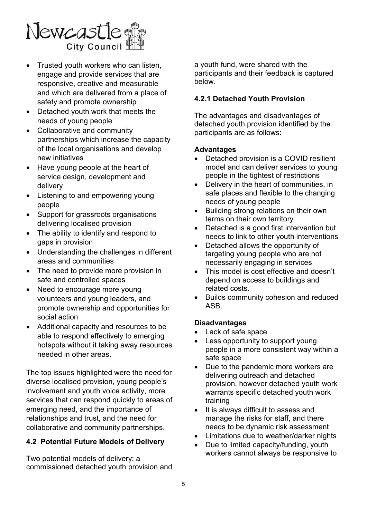

- Trusted youth workers who can listen, engage and provide services that are responsive, creative and measurable and which are delivered from a place of safety and promote ownership
- Detached youth work that meets the needs of young people
- Collaborative and community partnerships which increase the capacity of the local organisations and develop new initiatives
- Have young people at the heart of service design, development and delivery
- Listening to and empowering young people
- Support for grassroots organisations delivering localised provision
- The ability to identify and respond to gaps in provision
- Understanding the challenges in different areas and communities
- The need to provide more provision in safe and controlled spaces
- Need to encourage more young volunteers and young leaders, and promote ownership and opportunities for social action
- Additional capacity and resources to be able to respond effectively to emerging hotspots without it taking away resources needed in other areas.

The top issues highlighted were the need for diverse localised provision, young people's involvement and youth voice activity, more services that can respond quickly to areas of emerging need, and the importance of relationships and trust, and the need for collaborative and community partnerships.

#### 4.2 Potential Future Models of Delivery

Two potential models of delivery; a commissioned detached youth provision and a youth fund, were shared with the participants and their feedback is captured below.

#### 4.2.1 Detached Youth Provision

The advantages and disadvantages of detached youth provision identified by the participants are as follows:

#### Advantages

- Detached provision is a COVID resilient model and can deliver services to young people in the tightest of restrictions
- Delivery in the heart of communities, in safe places and flexible to the changing needs of young people
- Building strong relations on their own terms on their own territory
- Detached is a good first intervention but needs to link to other youth interventions
- Detached allows the opportunity of targeting young people who are not necessarily engaging in services
- This model is cost effective and doesn't depend on access to buildings and related costs.
- Builds community cohesion and reduced ASB.

#### Disadvantages

- Lack of safe space
- Less opportunity to support young people in a more consistent way within a safe space
- Due to the pandemic more workers are delivering outreach and detached provision, however detached youth work warrants specific detached youth work training
- It is always difficult to assess and manage the risks for staff, and there needs to be dynamic risk assessment
- Limitations due to weather/darker nights
- Due to limited capacity/funding, youth workers cannot always be responsive to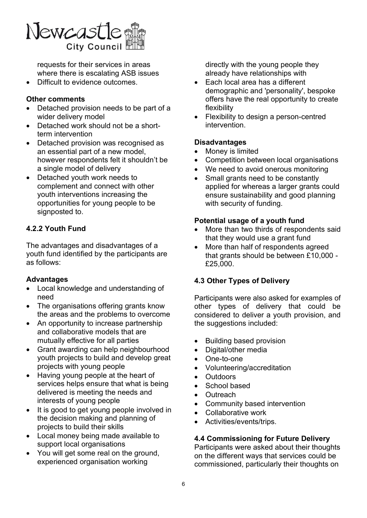

requests for their services in areas where there is escalating ASB issues

Difficult to evidence outcomes.

#### Other comments

- Detached provision needs to be part of a wider delivery model
- Detached work should not be a shortterm intervention
- Detached provision was recognised as an essential part of a new model, however respondents felt it shouldn't be a single model of delivery
- Detached youth work needs to complement and connect with other youth interventions increasing the opportunities for young people to be signposted to.

#### 4.2.2 Youth Fund

The advantages and disadvantages of a youth fund identified by the participants are as follows:

#### **Advantages**

- Local knowledge and understanding of need
- The organisations offering grants know the areas and the problems to overcome
- An opportunity to increase partnership and collaborative models that are mutually effective for all parties
- Grant awarding can help neighbourhood youth projects to build and develop great projects with young people
- Having young people at the heart of services helps ensure that what is being delivered is meeting the needs and interests of young people
- It is good to get young people involved in the decision making and planning of projects to build their skills
- Local money being made available to support local organisations
- You will get some real on the ground, experienced organisation working

directly with the young people they already have relationships with

- Each local area has a different demographic and 'personality', bespoke offers have the real opportunity to create flexibility
- Flexibility to design a person-centred intervention.

#### **Disadvantages**

- Money is limited
- Competition between local organisations
- We need to avoid onerous monitoring
- Small grants need to be constantly applied for whereas a larger grants could ensure sustainability and good planning with security of funding.

#### Potential usage of a youth fund

- More than two thirds of respondents said that they would use a grant fund
- More than half of respondents agreed that grants should be between £10,000 - £25,000.

#### 4.3 Other Types of Delivery

Participants were also asked for examples of other types of delivery that could be considered to deliver a youth provision, and the suggestions included:

- Building based provision
- Digital/other media
- One-to-one
- Volunteering/accreditation
- Outdoors
- School based
- Outreach
- Community based intervention
- Collaborative work
- Activities/events/trips.

#### 4.4 Commissioning for Future Delivery

Participants were asked about their thoughts on the different ways that services could be commissioned, particularly their thoughts on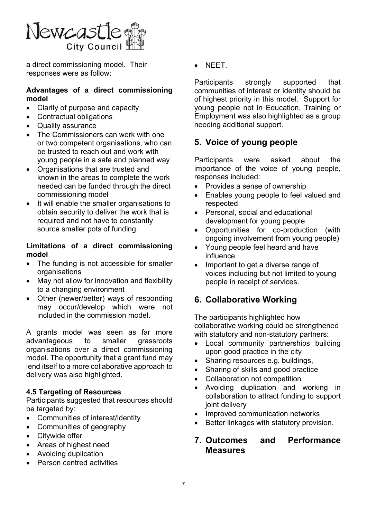

a direct commissioning model. Their responses were as follow:

#### Advantages of a direct commissioning model

- Clarity of purpose and capacity
- Contractual obligations
- Quality assurance
- The Commissioners can work with one or two competent organisations, who can be trusted to reach out and work with young people in a safe and planned way
- Organisations that are trusted and known in the areas to complete the work needed can be funded through the direct commissioning model
- It will enable the smaller organisations to obtain security to deliver the work that is required and not have to constantly source smaller pots of funding.

#### Limitations of a direct commissioning model

- The funding is not accessible for smaller organisations
- May not allow for innovation and flexibility to a changing environment
- Other (newer/better) ways of responding may occur/develop which were not included in the commission model.

A grants model was seen as far more advantageous to smaller grassroots organisations over a direct commissioning model. The opportunity that a grant fund may lend itself to a more collaborative approach to delivery was also highlighted.

#### 4.5 Targeting of Resources

Participants suggested that resources should be targeted by:

- Communities of interest/identity
- Communities of geography
- Citywide offer
- Areas of highest need
- Avoiding duplication
- Person centred activities

NEET.

Participants strongly supported that communities of interest or identity should be of highest priority in this model. Support for young people not in Education, Training or Employment was also highlighted as a group needing additional support.

# 5. Voice of young people

Participants were asked about the importance of the voice of young people, responses included:

- Provides a sense of ownership
- Enables young people to feel valued and respected
- Personal, social and educational development for young people
- Opportunities for co-production (with ongoing involvement from young people)
- Young people feel heard and have influence
- Important to get a diverse range of voices including but not limited to young people in receipt of services.

# 6. Collaborative Working

The participants highlighted how collaborative working could be strengthened with statutory and non-statutory partners:

- Local community partnerships building upon good practice in the city
- Sharing resources e.g. buildings,
- Sharing of skills and good practice
- Collaboration not competition
- Avoiding duplication and working in collaboration to attract funding to support joint delivery
- Improved communication networks
- Better linkages with statutory provision.

#### 7. Outcomes and Performance Measures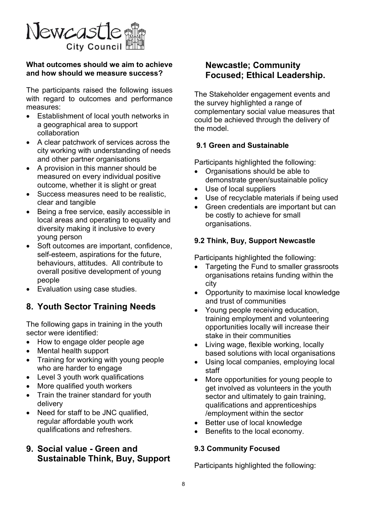

#### What outcomes should we aim to achieve and how should we measure success?

The participants raised the following issues with regard to outcomes and performance measures:

- Establishment of local youth networks in a geographical area to support collaboration
- A clear patchwork of services across the city working with understanding of needs and other partner organisations
- A provision in this manner should be measured on every individual positive outcome, whether it is slight or great
- Success measures need to be realistic, clear and tangible
- Being a free service, easily accessible in local areas and operating to equality and diversity making it inclusive to every young person
- Soft outcomes are important, confidence, self-esteem, aspirations for the future, behaviours, attitudes. All contribute to overall positive development of young people
- Evaluation using case studies.

# 8. Youth Sector Training Needs

The following gaps in training in the youth sector were identified:

- How to engage older people age
- Mental health support
- Training for working with young people who are harder to engage
- Level 3 youth work qualifications
- More qualified youth workers
- Train the trainer standard for youth delivery
- Need for staff to be JNC qualified, regular affordable youth work qualifications and refreshers.

## 9. Social value - Green and Sustainable Think, Buy, Support

# Newcastle; Community Focused; Ethical Leadership.

The Stakeholder engagement events and the survey highlighted a range of complementary social value measures that could be achieved through the delivery of the model.

#### 9.1 Green and Sustainable

Participants highlighted the following:

- Organisations should be able to demonstrate green/sustainable policy
- Use of local suppliers
- Use of recyclable materials if being used
- Green credentials are important but can be costly to achieve for small organisations.

#### 9.2 Think, Buy, Support Newcastle

Participants highlighted the following:

- Targeting the Fund to smaller grassroots organisations retains funding within the city
- Opportunity to maximise local knowledge and trust of communities
- Young people receiving education, training employment and volunteering opportunities locally will increase their stake in their communities
- Living wage, flexible working, locally based solutions with local organisations
- Using local companies, employing local staff
- More opportunities for young people to get involved as volunteers in the youth sector and ultimately to gain training. qualifications and apprenticeships /employment within the sector
- Better use of local knowledge
- Benefits to the local economy.

#### 9.3 Community Focused

Participants highlighted the following: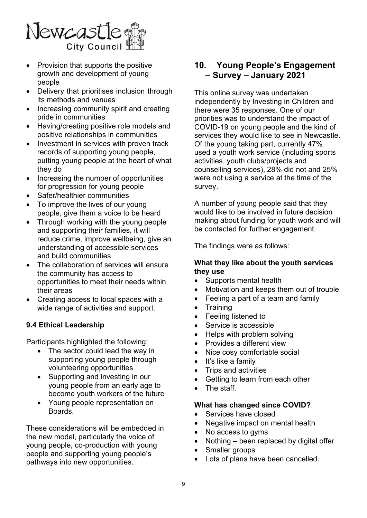

- Provision that supports the positive growth and development of young people
- Delivery that prioritises inclusion through its methods and venues
- Increasing community spirit and creating pride in communities
- Having/creating positive role models and positive relationships in communities
- Investment in services with proven track records of supporting young people, putting young people at the heart of what they do
- Increasing the number of opportunities for progression for young people
- Safer/healthier communities
- To improve the lives of our young people, give them a voice to be heard
- Through working with the young people and supporting their families, it will reduce crime, improve wellbeing, give an understanding of accessible services and build communities
- The collaboration of services will ensure the community has access to opportunities to meet their needs within their areas
- Creating access to local spaces with a wide range of activities and support.

#### 9.4 Ethical Leadership

Participants highlighted the following:

- The sector could lead the way in supporting young people through volunteering opportunities
- Supporting and investing in our young people from an early age to become youth workers of the future
- Young people representation on Boards.

These considerations will be embedded in the new model, particularly the voice of young people, co-production with young people and supporting young people's pathways into new opportunities.

# 10. Young People's Engagement – Survey – January 2021

This online survey was undertaken independently by Investing in Children and there were 35 responses. One of our priorities was to understand the impact of COVID-19 on young people and the kind of services they would like to see in Newcastle. Of the young taking part, currently 47% used a youth work service (including sports activities, youth clubs/projects and counselling services), 28% did not and 25% were not using a service at the time of the survey.

A number of young people said that they would like to be involved in future decision making about funding for youth work and will be contacted for further engagement.

The findings were as follows:

#### What they like about the youth services they use

- Supports mental health
- Motivation and keeps them out of trouble
- Feeling a part of a team and family
- Training
- Feeling listened to
- Service is accessible
- Helps with problem solving
- Provides a different view
- Nice cosy comfortable social
- $\bullet$  It's like a family
- Trips and activities
- Getting to learn from each other
- The staff

#### What has changed since COVID?

- Services have closed
- Negative impact on mental health
- No access to gyms
- Nothing been replaced by digital offer
- Smaller groups
- Lots of plans have been cancelled.